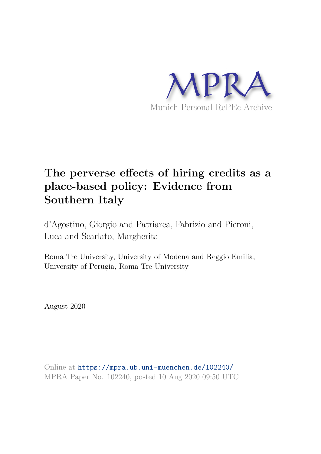

# **The perverse effects of hiring credits as a place-based policy: Evidence from Southern Italy**

d'Agostino, Giorgio and Patriarca, Fabrizio and Pieroni, Luca and Scarlato, Margherita

Roma Tre University, University of Modena and Reggio Emilia, University of Perugia, Roma Tre University

August 2020

Online at https://mpra.ub.uni-muenchen.de/102240/ MPRA Paper No. 102240, posted 10 Aug 2020 09:50 UTC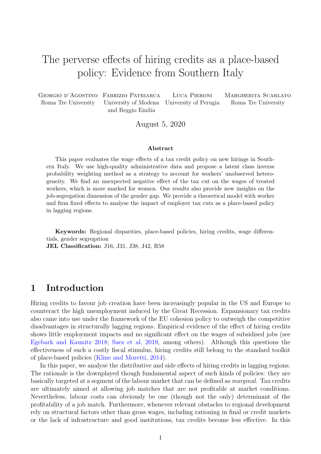# The perverse effects of hiring credits as a place-based policy: Evidence from Southern Italy

Giorgio d'Agostino Fabrizio Patriarca Luca Pieroni Margherita Scarlato Roma Tre University University of Modena University of Perugia Roma Tre University and Reggio Emilia

August 5, 2020

#### Abstract

This paper evaluates the wage effects of a tax credit policy on new hirings in Southern Italy. We use high-quality administrative data and propose a latent class inverse probability weighting method as a strategy to account for workers' unobserved heterogeneity. We find an unexpected negative effect of the tax cut on the wages of treated workers, which is more marked for women. Our results also provide new insights on the job-segregation dimension of the gender gap. We provide a theoretical model with worker and firm fixed effects to analyse the impact of employer tax cuts as a place-based policy in lagging regions.

Keywords: Regional disparities, place-based policies, hiring credits, wage differentials, gender segregation

JEL Classification: J16, J31, J38, J42, R58

# 1 Introduction

Hiring credits to favour job creation have been increasingly popular in the US and Europe to counteract the high unemployment induced by the Great Recession. Expansionary tax credits also came into use under the framework of the EU cohesion policy to outweigh the competitive disadvantages in structurally lagging regions. Empirical evidence of the effect of hiring credits shows little employment impacts and no significant effect on the wages of subsidised jobs (see Egebark and Kaunitz 2018; Saez et al. 2019, among others). Although this questions the effectiveness of such a costly fiscal stimulus, hiring credits still belong to the standard toolkit of place-based policies (Kline and Moretti, 2014).

In this paper, we analyse the distributive and side effects of hiring credits in lagging regions. The rationale is the downplayed though fundamental aspect of such kinds of policies: they are basically targeted at a segment of the labour market that can be defined as *marginal.* Tax credits are ultimately aimed at allowing job matches that are not profitable at market conditions. Nevertheless, labour costs can obviously be one (though not the only) determinant of the profitability of a job match. Furthermore, whenever relevant obstacles to regional development rely on structural factors other than gross wages, including rationing in final or credit markets or the lack of infrastructure and good institutions, tax credits become less effective. In this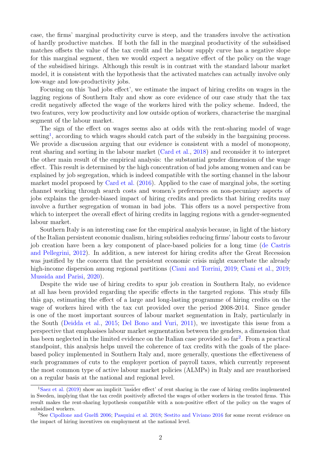case, the firms' marginal productivity curve is steep, and the transfers involve the activation of hardly productive matches. If both the fall in the marginal productivity of the subsidised matches offsets the value of the tax credit and the labour supply curve has a negative slope for this marginal segment, then we would expect a negative effect of the policy on the wage of the subsidised hirings. Although this result is in contrast with the standard labour market model, it is consistent with the hypothesis that the activated matches can actually involve only low-wage and low-productivity jobs.

Focusing on this 'bad jobs effect', we estimate the impact of hiring credits on wages in the lagging regions of Southern Italy and show as core evidence of our case study that the tax credit negatively affected the wage of the workers hired with the policy scheme. Indeed, the two features, very low productivity and low outside option of workers, characterise the marginal segment of the labour market.

The sign of the effect on wages seems also at odds with the rent-sharing model of wage setting<sup>1</sup>, according to which wages should catch part of the subsidy in the bargaining process. We provide a discussion arguing that our evidence is consistent with a model of monopsony, rent sharing and sorting in the labour market (Card et al., 2018) and reconsider it to interpret the other main result of the empirical analysis: the substantial gender dimension of the wage effect. This result is determined by the high concentration of bad jobs among women and can be explained by job segregation, which is indeed compatible with the sorting channel in the labour market model proposed by Card et al. (2016). Applied to the case of marginal jobs, the sorting channel working through search costs and women's preferences on non-pecuniary aspects of jobs explains the gender-biased impact of hiring credits and predicts that hiring credits may involve a further segregation of woman in bad jobs. This offers us a novel perspective from which to interpret the overall effect of hiring credits in lagging regions with a gender-segmented labour market.

Southern Italy is an interesting case for the empirical analysis because, in light of the history of the Italian persistent economic dualism, hiring subsidies reducing firms' labour costs to favour job creation have been a key component of place-based policies for a long time (de Castris and Pellegrini, 2012). In addition, a new interest for hiring credits after the Great Recession was justified by the concern that the persistent economic crisis might exacerbate the already high-income dispersion among regional partitions (Ciani and Torrini, 2019; Ciani et al., 2019; Mussida and Parisi, 2020).

Despite the wide use of hiring credits to spur job creation in Southern Italy, no evidence at all has been provided regarding the specific effects in the targeted regions. This study fills this gap, estimating the effect of a large and long-lasting programme of hiring credits on the wage of workers hired with the tax cut provided over the period 2008-2014. Since gender is one of the most important sources of labour market segmentation in Italy, particularly in the South (Deidda et al., 2015; Del Bono and Vuri, 2011), we investigate this issue from a perspective that emphasises labour market segmentation between the genders, a dimension that has been neglected in the limited evidence on the Italian case provided so far<sup>2</sup>. From a practical standpoint, this analysis helps unveil the coherence of tax credits with the goals of the placebased policy implemented in Southern Italy and, more generally, questions the effectiveness of such programmes of cuts to the employer portion of payroll taxes, which currently represent the most common type of active labour market policies (ALMPs) in Italy and are reauthorised on a regular basis at the national and regional level.

<sup>1</sup>Saez et al. (2019) show an implicit 'insider effect' of rent sharing in the case of hiring credits implemented in Sweden, implying that the tax credit positively affected the wages of other workers in the treated firms. This result makes the rent-sharing hypothesis compatible with a non-positive effect of the policy on the wages of subsidised workers.

<sup>2</sup>See Cipollone and Guelfi 2006; Pasquini et al. 2018; Sestito and Viviano 2016 for some recent evidence on the impact of hiring incentives on employment at the national level.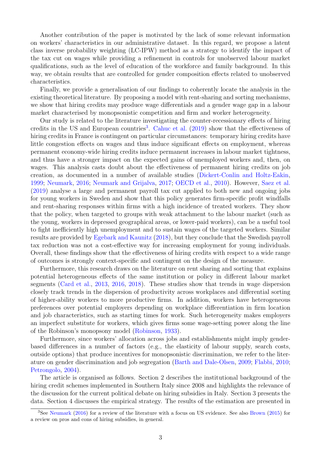Another contribution of the paper is motivated by the lack of some relevant information on workers' characteristics in our administrative dataset. In this regard, we propose a latent class inverse probability weighting (LC-IPW) method as a strategy to identify the impact of the tax cut on wages while providing a refinement in controls for unobserved labour market qualifications, such as the level of education of the workforce and family background. In this way, we obtain results that are controlled for gender composition effects related to unobserved characteristics.

Finally, we provide a generalisation of our findings to coherently locate the analysis in the existing theoretical literature. By proposing a model with rent-sharing and sorting mechanisms, we show that hiring credits may produce wage differentials and a gender wage gap in a labour market characterised by monopsonistic competition and firm and worker heterogeneity.

Our study is related to the literature investigating the counter-recessionary effects of hiring credits in the US and European countries<sup>3</sup>. Cahuc et al.  $(2019)$  show that the effectiveness of hiring credits in France is contingent on particular circumstances: temporary hiring credits have little congestion effects on wages and thus induce significant effects on employment, whereas permanent economy-wide hiring credits induce permanent increases in labour market tightness, and thus have a stronger impact on the expected gains of unemployed workers and, then, on wages. This analysis casts doubt about the effectiveness of permanent hiring credits on job creation, as documented in a number of available studies (Dickert-Conlin and Holtz-Eakin, 1999; Neumark, 2016; Neumark and Grijalva, 2017; OECD et al., 2010). However, Saez et al. (2019) analyse a large and permanent payroll tax cut applied to both new and ongoing jobs for young workers in Sweden and show that this policy generates firm-specific profit windfalls and rent-sharing responses within firms with a high incidence of treated workers. They show that the policy, when targeted to groups with weak attachment to the labour market (such as the young, workers in depressed geographical areas, or lower-paid workers), can be a useful tool to fight inefficiently high unemployment and to sustain wages of the targeted workers. Similar results are provided by Egebark and Kaunitz (2018), but they conclude that the Swedish payroll tax reduction was not a cost-effective way for increasing employment for young individuals. Overall, these findings show that the effectiveness of hiring credits with respect to a wide range of outcomes is strongly context-specific and contingent on the design of the measure.

Furthermore, this research draws on the literature on rent sharing and sorting that explains potential heterogeneous effects of the same institution or policy in different labour market segments (Card et al., 2013, 2016, 2018). These studies show that trends in wage dispersion closely track trends in the dispersion of productivity across workplaces and differential sorting of higher-ability workers to more productive firms. In addition, workers have heterogeneous preferences over potential employers depending on workplace differentiation in firm location and job characteristics, such as starting times for work. Such heterogeneity makes employers an imperfect substitute for workers, which gives firms some wage-setting power along the line of the Robinson's monopsony model (Robinson, 1933).

Furthermore, since workers' allocation across jobs and establishments might imply genderbased differences in a number of factors (e.g., the elasticity of labour supply, search costs, outside options) that produce incentives for monopsonistic discrimination, we refer to the literature on gender discrimination and job segregation (Barth and Dale-Olsen, 2009; Flabbi, 2010; Petrongolo, 2004).

The article is organised as follows. Section 2 describes the institutional background of the hiring credit schemes implemented in Southern Italy since 2008 and highlights the relevance of the discussion for the current political debate on hiring subsidies in Italy. Section 3 presents the data. Section 4 discusses the empirical strategy. The results of the estimation are presented in

<sup>3</sup>See Neumark (2016) for a review of the literature with a focus on US evidence. See also Brown (2015) for a review on pros and cons of hiring subsidies, in general.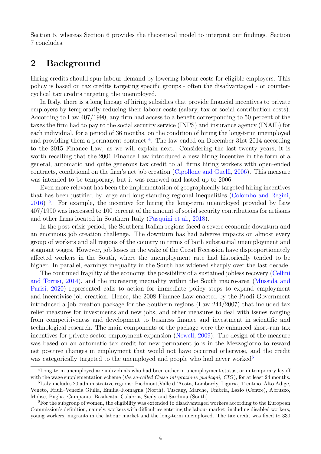Section 5, whereas Section 6 provides the theoretical model to interpret our findings. Section 7 concludes.

## 2 Background

Hiring credits should spur labour demand by lowering labour costs for eligible employers. This policy is based on tax credits targeting specific groups - often the disadvantaged - or countercyclical tax credits targeting the unemployed.

In Italy, there is a long lineage of hiring subsidies that provide financial incentives to private employers by temporarily reducing their labour costs (salary, tax or social contribution costs). According to Law 407/1990, any firm had access to a benefit corresponding to 50 percent of the taxes the firm had to pay to the social security service (INPS) and insurance agency (INAIL) for each individual, for a period of 36 months, on the condition of hiring the long-term unemployed and providing them a permanent contract<sup>4</sup>. The law ended on December 31st 2014 according to the 2015 Finance Law, as we will explain next. Considering the last twenty years, it is worth recalling that the 2001 Finance Law introduced a new hiring incentive in the form of a general, automatic and quite generous tax credit to all firms hiring workers with open-ended contracts, conditional on the firm's net job creation (Cipollone and Guelfi, 2006). This measure was intended to be temporary, but it was renewed and lasted up to 2006.

Even more relevant has been the implementation of geographically targeted hiring incentives that has been justified by large and long-standing regional inequalities (Colombo and Regini, 2016)<sup>5</sup>. For example, the incentive for hiring the long-term unemployed provided by Law 407/1990 was increased to 100 percent of the amount of social security contributions for artisans and other firms located in Southern Italy (Pasquini et al., 2018).

In the post-crisis period, the Southern Italian regions faced a severe economic downturn and an enormous job creation challenge. The downturn has had adverse impacts on almost every group of workers and all regions of the country in terms of both substantial unemployment and stagnant wages. However, job losses in the wake of the Great Recession have disproportionately affected workers in the South, where the unemployment rate had historically tended to be higher. In parallel, earnings inequality in the South has widened sharply over the last decade.

The continued fragility of the economy, the possibility of a sustained jobless recovery (Cellini and Torrisi, 2014), and the increasing inequality within the South macro-area (Mussida and Parisi, 2020) represented calls to action for immediate policy steps to expand employment and incentivise job creation. Hence, the 2008 Finance Law enacted by the Prodi Government introduced a job creation package for the Southern regions (Law 244/2007) that included tax relief measures for investments and new jobs, and other measures to deal with issues ranging from competitiveness and development to business finance and investment in scientific and technological research. The main components of the package were the enhanced short-run tax incentives for private sector employment expansion (Newell, 2009). The design of the measure was based on an automatic tax credit for new permanent jobs in the Mezzogiorno to reward net positive changes in employment that would not have occurred otherwise, and the credit was categorically targeted to the unemployed and people who had never worked<sup>6</sup>.

<sup>4</sup>Long-term unemployed are individuals who had been either in unemployment status, or in temporary layoff with the wage supplementation scheme (the so-called Cassa integrazione quadagni,  $CIG$ ), for at least 24 months.

<sup>5</sup> Italy includes 20 administrative regions: Piedmont,Valle d 'Aosta, Lombardy, Liguria, Trentino–Alto Adige, Veneto, Friuli–Venezia Giulia, Emilia–Romagna (North), Tuscany, Marche, Umbria, Lazio (Centre), Abruzzo, Molise, Puglia, Campania, Basilicata, Calabria, Sicily and Sardinia (South).

<sup>&</sup>lt;sup>6</sup>For the subgroup of women, the eligibility was extended to disadvantaged workers according to the European Commission's definition, namely, workers with difficulties entering the labour market, including disabled workers, young workers, migrants in the labour market and the long-term unemployed. The tax credit was fixed to 330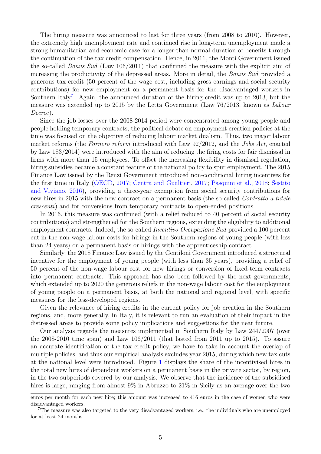The hiring measure was announced to last for three years (from 2008 to 2010). However, the extremely high unemployment rate and continued rise in long-term unemployment made a strong humanitarian and economic case for a longer-than-normal duration of benefits through the continuation of the tax credit compensation. Hence, in 2011, the Monti Government issued the so-called *Bonus Sud* (Law 106/2011) that confirmed the measure with the explicit aim of increasing the productivity of the depressed areas. More in detail, the *Bonus Sud* provided a generous tax credit (50 percent of the wage cost, including gross earnings and social security contributions) for new employment on a permanent basis for the disadvantaged workers in Southern Italy<sup>7</sup>. Again, the announced duration of the hiring credit was up to 2013, but the measure was extended up to 2015 by the Letta Government (Law 76/2013, known as *Labour Decree*).

Since the job losses over the 2008-2014 period were concentrated among young people and people holding temporary contracts, the political debate on employment creation policies at the time was focused on the objective of reducing labour market dualism. Thus, two major labour market reforms (the *Fornero reform* introduced with Law 92/2012, and the *Jobs Act*, enacted by Law 183/2014) were introduced with the aim of reducing the firing costs for fair dismissal in firms with more than 15 employees. To offset the increasing flexibility in dismissal regulation, hiring subsidies became a constant feature of the national policy to spur employment. The 2015 Finance Law issued by the Renzi Government introduced non-conditional hiring incentives for the first time in Italy (OECD, 2017; Centra and Gualtieri, 2017; Pasquini et al., 2018; Sestito and Viviano, 2016), providing a three-year exemption from social security contributions for new hires in 2015 with the new contract on a permanent basis (the so-called *Contratto a tutele crescenti*) and for conversions from temporary contracts to open-ended positions.

In 2016, this measure was confirmed (with a relief reduced to 40 percent of social security contributions) and strengthened for the Southern regions, extending the eligibility to additional employment contracts. Indeed, the so-called *Incentivo Occupazione Sud* provided a 100 percent cut in the non-wage labour costs for hirings in the Southern regions of young people (with less than 24 years) on a permanent basis or hirings with the apprenticeship contract.

Similarly, the 2018 Finance Law issued by the Gentiloni Government introduced a structural incentive for the employment of young people (with less than 35 years), providing a relief of 50 percent of the non-wage labour cost for new hirings or conversion of fixed-term contracts into permanent contracts. This approach has also been followed by the next governments, which extended up to 2020 the generous reliefs in the non-wage labour cost for the employment of young people on a permanent basis, at both the national and regional level, with specific measures for the less-developed regions.

Given the relevance of hiring credits in the current policy for job creation in the Southern regions, and, more generally, in Italy, it is relevant to run an evaluation of their impact in the distressed areas to provide some policy implications and suggestions for the near future.

Our analysis regards the measures implemented in Southern Italy by Law 244/2007 (over the 2008-2010 time span) and Law 106/2011 (that lasted from 2011 up to 2015). To assure an accurate identification of the tax credit policy, we have to take in account the overlap of multiple policies, and thus our empirical analysis excludes year 2015, during which new tax cuts at the national level were introduced. Figure 1 displays the share of the incentivised hires in the total new hires of dependent workers on a permanent basis in the private sector, by region, in the two subperiods covered by our analysis. We observe that the incidence of the subsidised hires is large, ranging from almost 9% in Abruzzo to 21% in Sicily as an average over the two

euros per month for each new hire; this amount was increased to 416 euros in the case of women who were disadvantaged workers.

<sup>7</sup>The measure was also targeted to the very disadvantaged workers, i.e., the individuals who are unemployed for at least 24 months.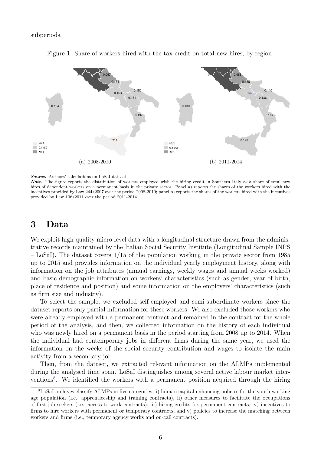subperiods.



Figure 1: Share of workers hired with the tax credit on total new hires, by region

Note: The figure reports the distribution of workers employed with the hiring credit in Southern Italy as a share of total new hires of dependent workers on a permanent basis in the private sector. Panel a) reports the shares of the workers hired with the incentives provided by Law 244/2007 over the period 2008-2010; panel b) reports the shares of the workers hired with the incentives provided by Law 106/2011 over the period 2011-2014.

## 3 Data

We exploit high-quality micro-level data with a longitudinal structure drawn from the administrative records maintained by the Italian Social Security Institute (Longitudinal Sample INPS – LoSaI). The dataset covers  $1/15$  of the population working in the private sector from 1985 up to 2015 and provides information on the individual yearly employment history, along with information on the job attributes (annual earnings, weekly wages and annual weeks worked) and basic demographic information on workers' characteristics (such as gender, year of birth, place of residence and position) and some information on the employers' characteristics (such as firm size and industry).

To select the sample, we excluded self-employed and semi-subordinate workers since the dataset reports only partial information for these workers. We also excluded those workers who were already employed with a permanent contract and remained in the contract for the whole period of the analysis, and then, we collected information on the history of each individual who was newly hired on a permanent basis in the period starting from 2008 up to 2014. When the individual had contemporary jobs in different firms during the same year, we used the information on the weeks of the social security contribution and wages to isolate the main activity from a secondary job.

Then, from the dataset, we extracted relevant information on the ALMPs implemented during the analysed time span. LoSaI distinguishes among several active labour market interventions<sup>8</sup>. We identified the workers with a permanent position acquired through the hiring

Source: Authors' calculations on LoSaI dataset.

<sup>8</sup>LoSaI archives classify ALMPs in five categories: i) human capital-enhancing policies for the youth working age population (i.e., apprenticeship and training contracts), ii) other measures to facilitate the occupations of first-job seekers (i.e., access-to-work contracts), iii) hiring credits for permanent contracts, iv) incentives to firms to hire workers with permanent or temporary contracts, and v) policies to increase the matching between workers and firms (i.e., temporary agency works and on-call contracts).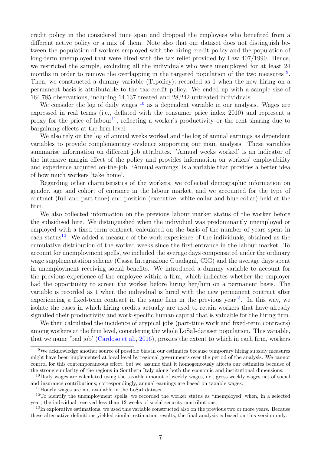credit policy in the considered time span and dropped the employees who benefited from a different active policy or a mix of them. Note also that our dataset does not distinguish between the population of workers employed with the hiring credit policy and the population of long-term unemployed that were hired with the tax relief provided by Law 407/1990. Hence, we restricted the sample, excluding all the individuals who were unemployed for at least 24 months in order to remove the overlapping in the targeted population of the two measures <sup>9</sup>. Then, we constructed a dummy variable (T<sub>-policy</sub>), recorded as 1 when the new hiring on a permanent basis is attributable to the tax credit policy. We ended up with a sample size of 164,785 observations, including 14,137 treated and 28,242 untreated individuals.

We consider the log of daily wages  $10$  as a dependent variable in our analysis. Wages are expressed in real terms (i.e., deflated with the consumer price index 2010) and represent a proxy for the price of labour<sup>11</sup>, reflecting a worker's productivity or the rent sharing due to bargaining effects at the firm level.

We also rely on the log of annual weeks worked and the log of annual earnings as dependent variables to provide complementary evidence supporting our main analysis. These variables summarise information on different job attributes. 'Annual weeks worked' is an indicator of the intensive margin effect of the policy and provides information on workers' employability and experience acquired on-the-job. 'Annual earnings' is a variable that provides a better idea of how much workers 'take home'.

Regarding other characteristics of the workers, we collected demographic information on gender, age and cohort of entrance in the labour market, and we accounted for the type of contract (full and part time) and position (executive, white collar and blue collar) held at the firm.

We also collected information on the previous labour market status of the worker before the subsidised hire. We distinguished when the individual was predominantly unemployed or employed with a fixed-term contract, calculated on the basis of the number of years spent in each status<sup>12</sup>. We added a measure of the work experience of the individuals, obtained as the cumulative distribution of the worked weeks since the first entrance in the labour market. To account for unemployment spells, we included the average days compensated under the ordinary wage supplementation scheme (Cassa Integrazione Guadagni, CIG) and the average days spent in unemployment receiving social benefits. We introduced a dummy variable to account for the previous experience of the employee within a firm, which indicates whether the employer had the opportunity to screen the worker before hiring her/him on a permanent basis. The variable is recorded as 1 when the individual is hired with the new permanent contract after experiencing a fixed-term contract in the same firm in the previous year<sup>13</sup>. In this way, we isolate the cases in which hiring credits actually are used to retain workers that have already signalled their productivity and work-specific human capital that is valuable for the hiring firm.

We then calculated the incidence of atypical jobs (part-time work and fixed-term contracts) among workers at the firm level, considering the whole LoSaI-dataset population. This variable, that we name 'bad job' (Cardoso et al., 2016), proxies the extent to which in each firm, workers

<sup>9</sup>We acknowledge another source of possible bias in our estimates because temporary hiring subsidy measures might have been implemented at local level by regional governments over the period of the analysis. We cannot control for this contemporaneous effect, but we assume that it homogeneously affects our estimates because of the strong similarity of the regions in Southern Italy along both the economic and institutional dimensions.

 $10$ Daily wages are calculated using the taxable amount of weekly wages, i.e., gross weekly wages net of social and insurance contributions; correspondingly, annual earnings are based on taxable wages.

<sup>11</sup>Hourly wages are not available in the LoSaI dataset.

<sup>12</sup>To identify the unemployment spells, we recorded the worker status as 'unemployed' when, in a selected year, the individual received less than 12 weeks of social security contributions.

<sup>&</sup>lt;sup>13</sup>In explorative estimations, we used this variable constructed also on the previous two or more years. Because these alternative definitions yielded similar estimation results, the final analysis is based on this version only.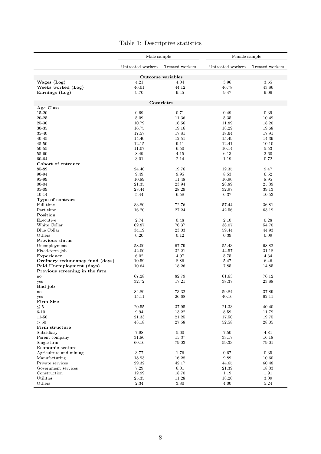|                                 | Male sample                          |                   | Female sample     |                 |  |
|---------------------------------|--------------------------------------|-------------------|-------------------|-----------------|--|
|                                 | Untreated workers<br>Treated workers |                   | Untreated workers | Treated workers |  |
|                                 |                                      | Outcome variables |                   |                 |  |
| Wages (Log)                     | 4.21                                 | 4.04              | 3.96              | 3.65            |  |
| Weeks worked (Log)              | 46.01                                | 44.12             | 46.78             | 43.86           |  |
| Earnings (Log)                  | 9.70                                 | 9.45              | 9.47              | 9.06            |  |
|                                 |                                      |                   |                   |                 |  |
| Age Class                       |                                      | Covariates        |                   |                 |  |
| 15-20                           | 0.69                                 | 0.71              | 0.49              | 0.39            |  |
| $20 - 25$                       | 5.09                                 | 11.36             | 5.35              | 10.49           |  |
| 25-30                           | 10.79                                | 16.56             | 11.89             | 18.20           |  |
| 30-35                           | 16.75                                | 19.16             | 18.29             | 19.68           |  |
| 35-40                           | 17.57                                | 17.81             | 18.64             | 17.91           |  |
| $40 - 45$                       | 14.40                                | 12.51             | 15.49             | 14.39           |  |
| $45 - 50$                       | 12.15                                | 9.11              | 12.41             | 10.10           |  |
| 50-55                           | 11.07                                | 6.50              | 10.14             | 5.53            |  |
| 55-60                           | 8.49                                 | 4.15              | 6.13              | 2.60            |  |
| 60-64                           | 3.01                                 | 2.14              | 1.19              | 0.72            |  |
| Cohort of entrance              |                                      |                   |                   |                 |  |
| 85-89                           | 24.40                                | 19.76             | 12.35             | 9.47            |  |
| 90-94                           | 9.49                                 | 9.95              | 8.53              | 6.52            |  |
| 95-99                           | 10.89                                | 11.48             | 10.90             | 8.95            |  |
| $00 - 04$                       | 21.35                                | 23.94             | 28.89             | 25.39           |  |
| 05-09                           | 28.44                                | 28.29             | 32.97             | 39.13           |  |
| 10-14                           | 5.44                                 | 6.58              | 6.37              | 10.53           |  |
| Type of contract<br>Full time   |                                      |                   |                   |                 |  |
|                                 | 83.80                                | 72.76             | 57.44             | 36.81           |  |
| Part time<br>Position           | 16.20                                | 27.24             | 42.56             | 63.19           |  |
| Executive                       | 2.74                                 | 0.48              | 2.10              | 0.28            |  |
| White Collar                    | 62.87                                | 76.37             | 38.07             | 54.70           |  |
| Blue Collar                     | 34.19                                | 23.03             | 59.44             | 44.93           |  |
| Others                          | 0.20                                 | 0.12              | 0.39              | 0.09            |  |
| Previous status                 |                                      |                   |                   |                 |  |
| Unemployment                    | 58.00                                | 67.79             | 55.43             | 68.82           |  |
| Fixed-term job                  | 42.00                                | 32.21             | 44.57             | 31.18           |  |
| Experience                      | 6.02                                 | 4.97              | 5.75              | 4.34            |  |
| Ordinary redundancy fund (days) | 10.59                                | 8.86              | 5.47              | 6.46            |  |
| Paid Unemployment (days)        | 10.64                                | 18.26             | 7.85              | 14.85           |  |
| Previous screening in the firm  |                                      |                   |                   |                 |  |
| $\mathop{\mathrm{no}}$          | 67.28                                | 82.79             | 61.63             | 76.12           |  |
| yes                             | 32.72                                | 17.21             | 38.37             | 23.88           |  |
| Bad job                         | 84.89                                | 73.32             | 59.84             | 37.89           |  |
| $\mathbf{no}$<br>yes            | 15.11                                | 26.68             | 40.16             | 62.11           |  |
| Firm Size                       |                                      |                   |                   |                 |  |
| $\leq 5$                        | 20.55                                | 37.95             | 21.33             | 40.40           |  |
| $6 - 10$                        | 9.94                                 | 13.22             | 8.59              | 11.79           |  |
| $11 - 50$                       | 21.33                                | $21.25\,$         | 17.50             | 19.75           |  |
| $>50$                           | 48.18                                | 27.58             | 52.58             | 28.05           |  |
| Firm structure                  |                                      |                   |                   |                 |  |
| Subsidiary                      | 7.98                                 | 5.60              | 7.50              | 4.81            |  |
| Parent company                  | 31.86                                | 15.37             | 33.17             | 16.18           |  |
| Single firm                     | 60.16                                | 79.03             | 59.33             | 79.01           |  |
| <b>Economic sectors</b>         |                                      |                   |                   |                 |  |
| Agriculture and mining          | 3.77                                 | 1.76              | 0.67              | 0.35            |  |
| Manufacturing                   | 18.93                                | 16.28             | 9.89              | 10.60           |  |
| Private services                | 29.32                                | 42.17             | 44.65             | 60.48           |  |
| Government services             | 7.29                                 | 6.01              | 21.39             | 18.33           |  |
| Construction                    | 12.99                                | 18.70             | 1.19              | 1.91            |  |
| Utilities                       | 25.35                                | 11.28             | 18.20             | 3.09            |  |
| Others                          | $2.34\,$                             | 3.80              | 4.00              | 5.24            |  |

### Table 1: Descriptive statistics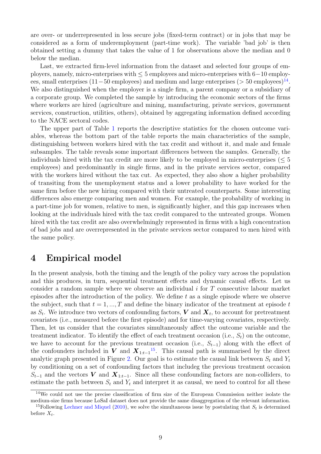are over- or underrepresented in less secure jobs (fixed-term contract) or in jobs that may be considered as a form of underemployment (part-time work). The variable 'bad job' is then obtained setting a dummy that takes the value of 1 for observations above the median and 0 below the median.

Last, we extracted firm-level information from the dataset and selected four groups of employers, namely, micro-enterprises with ≤ 5 employees and micro-enterprises with 6−10 employees, small enterprises  $(11-50 \text{ employees})$  and medium and large enterprises  $(> 50 \text{ employees})^{14}$ . We also distinguished when the employer is a single firm, a parent company or a subsidiary of a corporate group. We completed the sample by introducing the economic sectors of the firms where workers are hired (agriculture and mining, manufacturing, private services, government services, construction, utilities, others), obtained by aggregating information defined according to the NACE sectoral codes.

The upper part of Table 1 reports the descriptive statistics for the chosen outcome variables, whereas the bottom part of the table reports the main characteristics of the sample, distinguishing between workers hired with the tax credit and without it, and male and female subsamples. The table reveals some important differences between the samples. Generally, the individuals hired with the tax credit are more likely to be employed in micro-enterprises  $(< 5$ employees) and predominantly in single firms, and in the private services sector, compared with the workers hired without the tax cut. As expected, they also show a higher probability of transiting from the unemployment status and a lower probability to have worked for the same firm before the new hiring compared with their untreated counterparts. Some interesting differences also emerge comparing men and women. For example, the probability of working in a part-time job for women, relative to men, is significantly higher, and this gap increases when looking at the individuals hired with the tax credit compared to the untreated groups. Women hired with the tax credit are also overwhelmingly represented in firms with a high concentration of bad jobs and are overrepresented in the private services sector compared to men hired with the same policy.

# 4 Empirical model

In the present analysis, both the timing and the length of the policy vary across the population and this produces, in turn, sequential treatment effects and dynamic causal effects. Let us consider a random sample where we observe an individual i for T consecutive labour market episodes after the introduction of the policy. We define  $t$  as a single episode where we observe the subject, such that  $t = 1, ..., T$  and define the binary indicator of the treatment at episode t as  $S_t$ . We introduce two vectors of confounding factors,  $\bm{V}$  and  $\bm{X}_t$ , to account for pretreatment covariates (i.e., measured before the first episode) and for time-varying covariates, respectively. Then, let us consider that the covariates simultaneously affect the outcome variable and the treatment indicator. To identify the effect of each treatment occasion (i.e.,  $S_t$ ) on the outcome, we have to account for the previous treatment occasion (i.e.,  $S_{t-1}$ ) along with the effect of the confounders included in V and  $X_{1:t-1}$ <sup>15</sup>. This causal path is summarised by the direct analytic graph presented in Figure 2. Our goal is to estimate the causal link between  $S_t$  and  $Y_t$ by conditioning on a set of confounding factors that includeg the previous treatment occasion  $S_{t-1}$  and the vectors V and  $\mathbf{X}_{1:t-1}$ . Since all these confounding factors are non-colliders, to estimate the path between  $S_t$  and  $Y_t$  and interpret it as causal, we need to control for all these

<sup>&</sup>lt;sup>14</sup>We could not use the precise classification of firm size of the European Commission neither isolate the medium-size firms because LoSaI dataset does not provide the same disaggregation of the relevant information.

<sup>&</sup>lt;sup>15</sup>Following Lechner and Miquel (2010), we solve the simultaneous issue by postulating that  $S_t$  is determined before  $X_t$ .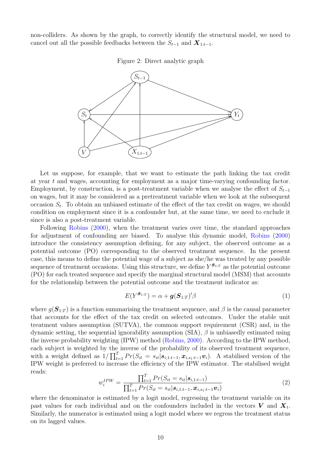non-colliders. As shown by the graph, to correctly identify the structural model, we need to cancel out all the possible feedbacks between the  $S_{t-1}$  and  $\mathbf{X}_{1:t-1}$ .





Let us suppose, for example, that we want to estimate the path linking the tax credit at year t and wages, accounting for employment as a major time-varying confounding factor. Employment, by construction, is a post-treatment variable when we analyse the effect of  $S_{t-1}$ on wages, but it may be considered as a pretreatment variable when we look at the subsequent occasion  $S_t$ . To obtain an unbiased estimate of the effect of the tax credit on wages, we should condition on employment since it is a confounder but, at the same time, we need to exclude it since is also a post-treatment variable.

Following Robins (2000), when the treatment varies over time, the standard approaches for adjustment of confounding are biased. To analyse this dynamic model, Robins (2000) introduce the consistency assumption defining, for any subject, the observed outcome as a potential outcome (PO) corresponding to the observed treatment sequence. In the present case, this means to define the potential wage of a subject as she/he was treated by any possible sequence of treatment occasions. Using this structure, we define  $Y^{\mathcal{S}_{1:T}}$  as the potential outcome (PO) for each treated sequence and specify the marginal structural model (MSM) that accounts for the relationship between the potential outcome and the treatment indicator as:

$$
E(Y^{\mathcal{S}_{1:T}}) = \alpha + \boldsymbol{g}(\boldsymbol{S}_{1:T})'\beta
$$
\n(1)

where  $g(\mathbf{S}_{1:T})$  is a function summarising the treatment sequence, and  $\beta$  is the causal parameter that accounts for the effect of the tax credit on selected outcomes. Under the stable unit treatment values assumption (SUTVA), the common support requirement (CSR) and, in the dynamic setting, the sequential ignorability assumption  $(SIA)$ ,  $\beta$  is unbiasedly estimated using the inverse probability weighting (IPW) method (Robins, 2000). According to the IPW method, each subject is weighted by the inverse of the probability of its observed treatment sequence, with a weight defined as  $1/\prod_{t=1}^{T} Pr(S_{it} = s_{it} | s_{i,1:t-1}, \boldsymbol{x}_{i,s_1:t-1} \boldsymbol{v}_i)$ . A stabilised version of the IPW weight is preferred to increase the efficiency of the IPW estimator. The stabilised weight reads:

$$
w_i^{IPW} = \frac{\prod_{t=1}^T Pr(S_{it} = s_{it} | \mathbf{s}_{i,1:t-1})}{\prod_{t=1}^T Pr(S_{it} = s_{it} | \mathbf{s}_{i,1:t-1}, \mathbf{x}_{i,s_1:t-1} \mathbf{v}_i)}
$$
(2)

where the denominator is estimated by a logit model, regressing the treatment variable on its past values for each individual and on the confounders included in the vectors  $V$  and  $X_t$ . Similarly, the numerator is estimated using a logit model where we regress the treatment status on its lagged values.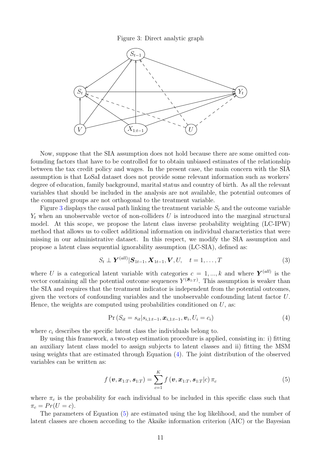Figure 3: Direct analytic graph



Now, suppose that the SIA assumption does not hold because there are some omitted confounding factors that have to be controlled for to obtain unbiased estimates of the relationship between the tax credit policy and wages. In the present case, the main concern with the SIA assumption is that LoSaI dataset does not provide some relevant information such as workers' degree of education, family background, marital status and country of birth. As all the relevant variables that should be included in the analysis are not available, the potential outcomes of the compared groups are not orthogonal to the treatment variable.

Figure 3 displays the causal path linking the treatment variable  $S_t$  and the outcome variable  $Y_t$  when an unobservable vector of non-colliders U is introduced into the marginal structural model. At this scope, we propose the latent class inverse probability weighting (LC-IPW) method that allows us to collect additional information on individual characteristics that were missing in our administrative dataset. In this respect, we modify the SIA assumption and propose a latent class sequential ignorability assumption (LC-SIA), defined as:

$$
S_t \perp \mathbf{Y}^{(all)} | \mathbf{S}_{1t-1}, \mathbf{X}_{1t-1}, \mathbf{V}, U, \quad t = 1, \dots, T
$$
\n
$$
(3)
$$

where U is a categorical latent variable with categories  $c = 1, ..., k$  and where  $Y<sup>(all)</sup>$  is the vector containing all the potential outcome sequences  $Y^{(s_{1:T})}$ . This assumption is weaker than the SIA and requires that the treatment indicator is independent from the potential outcomes, given the vectors of confounding variables and the unobservable confounding latent factor U. Hence, the weights are computed using probabilities conditioned on  $U$ , as:

$$
Pr(S_{it} = s_{it}|s_{i,1:t-1}, \boldsymbol{x}_{i,1:t-1}, \boldsymbol{v}_i, U_i = c_i)
$$
\n(4)

where  $c_i$  describes the specific latent class the individuals belong to.

By using this framework, a two-step estimation procedure is applied, consisting in: i) fitting an auxiliary latent class model to assign subjects to latent classes and ii) fitting the MSM using weights that are estimated through Equation (4). The joint distribution of the observed variables can be written as:

$$
f\left(\boldsymbol{v},\boldsymbol{x}_{1:T},\boldsymbol{s}_{1:T}\right)=\sum_{c=1}^{K}f\left(\boldsymbol{v},\boldsymbol{x}_{1:T},\boldsymbol{s}_{1:T}|c\right)\pi_{c}
$$
\n(5)

where  $\pi_c$  is the probability for each individual to be included in this specific class such that  $\pi_c = Pr(U = c).$ 

The parameters of Equation (5) are estimated using the log likelihood, and the number of latent classes are chosen according to the Akaike information criterion (AIC) or the Bayesian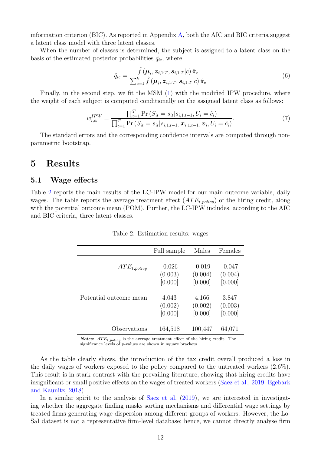information criterion (BIC). As reported in Appendix  $\overline{A}$ , both the AIC and BIC criteria suggest a latent class model with three latent classes.

When the number of classes is determined, the subject is assigned to a latent class on the basis of the estimated posterior probabilities  $\hat{q}_{ic}$ , where

$$
\hat{q}_{ic} = \frac{\hat{f}\left(\boldsymbol{\mu}_i, \boldsymbol{z}_{i,1:T}, \boldsymbol{s}_{i,1:T}|c\right) \hat{\pi}_c}{\sum_{c=1}^k \hat{f}\left(\boldsymbol{\mu}_i, \boldsymbol{z}_{i,1:T}, \boldsymbol{s}_{i,1:T}|c\right) \hat{\pi}_c}
$$
\n(6)

Finally, in the second step, we fit the MSM (1) with the modified IPW procedure, where the weight of each subject is computed conditionally on the assigned latent class as follows:

$$
w_{i,c_i}^{IPW} = \frac{\prod_{t=1}^{T} \Pr\left(S_{it} = s_{it} | s_{i,1:t-1}, U_i = \hat{c}_i\right)}{\prod_{t=1}^{T} \Pr\left(S_{it} = s_{it} | s_{i,1:t-1}, \mathbf{x}_{i,1:t-1}, \mathbf{v}_i, U_i = \hat{c}_i\right)}.
$$
(7)

The standard errors and the corresponding confidence intervals are computed through nonparametric bootstrap.

## 5 Results

#### 5.1 Wage effects

Table 2 reports the main results of the LC-IPW model for our main outcome variable, daily wages. The table reports the average treatment effect  $(ATE<sub>t</sub><sub>nonlicu</sub>)$  of the hiring credit, along with the potential outcome mean (POM). Further, the LC-IPW includes, according to the AIC and BIC criteria, three latent classes.

|                        | Full sample                    | Males                          | Females                        |
|------------------------|--------------------------------|--------------------------------|--------------------------------|
| $ATE_{t\_policy}$      | $-0.026$<br>(0.003)<br>[0.000] | $-0.019$<br>(0.004)<br>[0.000] | $-0.047$<br>(0.004)<br>[0.000] |
| Potential outcome mean | 4.043<br>(0.002)<br>[0.000]    | 4.166<br>(0.002)<br>[0.000]    | 3.847<br>(0.003)<br>[0.000]    |
| Observations           | 164,518                        | 100,447                        | 64,071                         |

Table 2: Estimation results: wages

**Notes:**  $ATE_{t\_policy}$  is the average treatment effect of the hiring credit. The significance levels of p-values are shown in square brackets.

As the table clearly shows, the introduction of the tax credit overall produced a loss in the daily wages of workers exposed to the policy compared to the untreated workers (2.6%). This result is in stark contrast with the prevailing literature, showing that hiring credits have insignificant or small positive effects on the wages of treated workers (Saez et al., 2019; Egebark and Kaunitz, 2018).

In a similar spirit to the analysis of Saez et al. (2019), we are interested in investigating whether the aggregate finding masks sorting mechanisms and differential wage settings by treated firms generating wage dispersion among different groups of workers. However, the Lo-SaI dataset is not a representative firm-level database; hence, we cannot directly analyse firm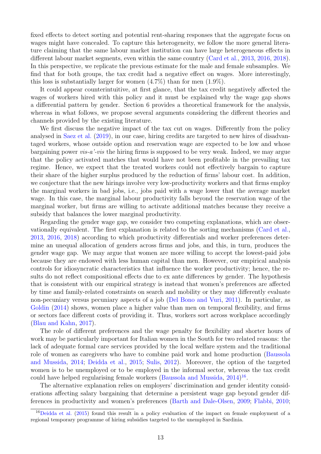fixed effects to detect sorting and potential rent-sharing responses that the aggregate focus on wages might have concealed. To capture this heterogeneity, we follow the more general literature claiming that the same labour market institution can have large heterogeneous effects in different labour market segments, even within the same country (Card et al., 2013, 2016, 2018). In this perspective, we replicate the previous estimate for the male and female subsamples. We find that for both groups, the tax credit had a negative effect on wages. More interestingly, this loss is substantially larger for women  $(4.7\%)$  than for men  $(1.9\%)$ .

It could appear counterintuitive, at first glance, that the tax credit negatively affected the wages of workers hired with this policy and it must be explained why the wage gap shows a differential pattern by gender. Section 6 provides a theoretical framework for the analysis, whereas in what follows, we propose several arguments considering the different theories and channels provided by the existing literature.

We first discuss the negative impact of the tax cut on wages. Differently from the policy analysed in Saez et al. (2019), in our case, hiring credits are targeted to new hires of disadvantaged workers, whose outside option and reservation wage are expected to be low and whose bargaining power *vis-a'-vis* the hiring firms is supposed to be very weak. Indeed, we may argue that the policy activated matches that would have not been profitable in the prevailing tax regime. Hence, we expect that the treated workers could not effectively bargain to capture their share of the higher surplus produced by the reduction of firms' labour cost. In addition, we conjecture that the new hirings involve very low-productivity workers and that firms employ the marginal workers in bad jobs, i.e., jobs paid with a wage lower that the average market wage. In this case, the marginal labour productivity falls beyond the reservation wage of the marginal worker, but firms are willing to activate additional matches because they receive a subsidy that balances the lower marginal productivity.

Regarding the gender wage gap, we consider two competing explanations, which are observationally equivalent. The first explanation is related to the sorting mechanisms (Card et al., 2013, 2016, 2018) according to which productivity differentials and worker preferences determine an unequal allocation of genders across firms and jobs, and this, in turn, produces the gender wage gap. We may argue that women are more willing to accept the lowest-paid jobs because they are endowed with less human capital than men. However, our empirical analysis controls for idiosyncratic characteristics that influence the worker productivity; hence, the results do not reflect compositional effects due to ex ante differences by gender. The hypothesis that is consistent with our empirical strategy is instead that women's preferences are affected by time and family-related constraints on search and mobility or they may differently evaluate non-pecuniary versus pecuniary aspects of a job (Del Bono and Vuri, 2011). In particular, as Goldin (2014) shows, women place a higher value than men on temporal flexibility, and firms or sectors face different costs of providing it. Thus, workers sort across workplace accordingly (Blau and Kahn, 2017).

The role of different preferences and the wage penalty for flexibility and shorter hours of work may be particularly important for Italian women in the South for two related reasons: the lack of adequate formal care services provided by the local welfare system and the traditional role of women as caregivers who have to combine paid work and home production (Baussola and Mussida, 2014; Deidda et al., 2015; Sulis, 2012). Moreover, the option of the targeted women is to be unemployed or to be employed in the informal sector, whereas the tax credit could have helped regularising female workers (Baussola and Mussida, 2014)<sup>16</sup>.

The alternative explanation relies on employers' discrimination and gender identity considerations affecting salary bargaining that determine a persistent wage gap beyond gender differences in productivity and women's preferences (Barth and Dale-Olsen, 2009; Flabbi, 2010;

<sup>16</sup>Deidda et al. (2015) found this result in a policy evaluation of the impact on female employment of a regional temporary programme of hiring subsidies targeted to the unemployed in Sardinia.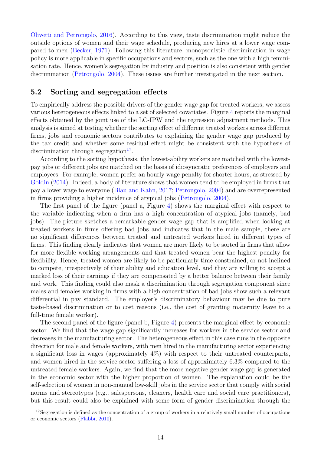Olivetti and Petrongolo, 2016). According to this view, taste discrimination might reduce the outside options of women and their wage schedule, producing new hires at a lower wage compared to men (Becker, 1971). Following this literature, monopsonistic discrimination in wage policy is more applicable in specific occupations and sectors, such as the one with a high feminisation rate. Hence, women's segregation by industry and position is also consistent with gender discrimination (Petrongolo, 2004). These issues are further investigated in the next section.

#### 5.2 Sorting and segregation effects

To empirically address the possible drivers of the gender wage gap for treated workers, we assess various heterogeneous effects linked to a set of selected covariates. Figure 4 reports the marginal effects obtained by the joint use of the LC-IPW and the regression adjustment methods. This analysis is aimed at testing whether the sorting effect of different treated workers across different firms, jobs and economic sectors contributes to explaining the gender wage gap produced by the tax credit and whether some residual effect might be consistent with the hypothesis of discrimination through segregation<sup>17</sup>.

According to the sorting hypothesis, the lowest-ability workers are matched with the lowestpay jobs or different jobs are matched on the basis of idiosyncratic preferences of employers and employees. For example, women prefer an hourly wage penalty for shorter hours, as stressed by Goldin (2014). Indeed, a body of literature shows that women tend to be employed in firms that pay a lower wage to everyone (Blau and Kahn, 2017; Petrongolo, 2004) and are overrepresented in firms providing a higher incidence of atypical jobs (Petrongolo, 2004).

The first panel of the figure (panel a, Figure 4) shows the marginal effect with respect to the variable indicating when a firm has a high concentration of atypical jobs (namely, bad jobs). The picture sketches a remarkable gender wage gap that is amplified when looking at treated workers in firms offering bad jobs and indicates that in the male sample, there are no significant differences between treated and untreated workers hired in different types of firms. This finding clearly indicates that women are more likely to be sorted in firms that allow for more flexible working arrangements and that treated women bear the highest penalty for flexibility. Hence, treated women are likely to be particularly time constrained, or not inclined to compete, irrespectively of their ability and education level, and they are willing to accept a marked loss of their earnings if they are compensated by a better balance between their family and work. This finding could also mask a discrimination through segregation component since males and females working in firms with a high concentration of bad jobs show such a relevant differential in pay standard. The employer's discriminatory behaviour may be due to pure taste-based discrimination or to cost reasons (i.e., the cost of granting maternity leave to a full-time female worker).

The second panel of the figure (panel b, Figure 4) presents the marginal effect by economic sector. We find that the wage gap significantly increases for workers in the service sector and decreases in the manufacturing sector. The heterogeneous effect in this case runs in the opposite direction for male and female workers, with men hired in the manufacturing sector experiencing a significant loss in wages (approximately 4%) with respect to their untreated counterparts, and women hired in the service sector suffering a loss of approximately 6.3% compared to the untreated female workers. Again, we find that the more negative gender wage gap is generated in the economic sector with the higher proportion of women. The explanation could be the self-selection of women in non-manual low-skill jobs in the service sector that comply with social norms and stereotypes (e.g., salespersons, cleaners, health care and social care practitioners), but this result could also be explained with some form of gender discrimination through the

<sup>&</sup>lt;sup>17</sup>Segregation is defined as the concentration of a group of workers in a relatively small number of occupations or economic sectors (Flabbi, 2010).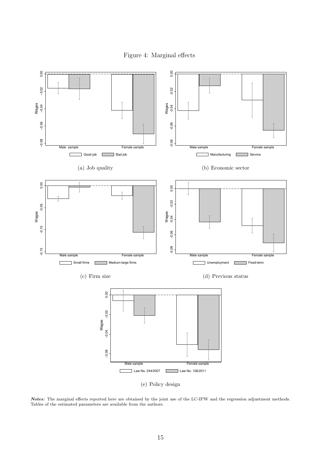Figure 4: Marginal effects



Notes: The marginal effects reported here are obtained by the joint use of the LC-IPW and the regression adjustment methods. Tables of the estimated parameters are available from the authors.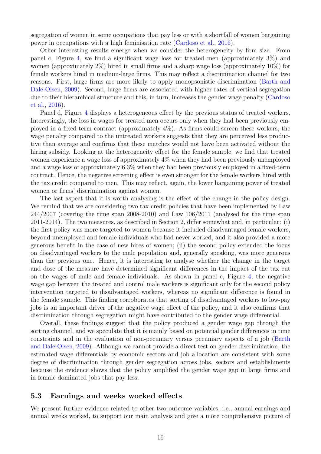segregation of women in some occupations that pay less or with a shortfall of women bargaining power in occupations with a high feminisation rate (Cardoso et al., 2016).

Other interesting results emerge when we consider the heterogeneity by firm size. From panel c, Figure 4, we find a significant wage loss for treated men (approximately 3%) and women (approximately 2%) hired in small firms and a sharp wage loss (approximately 10%) for female workers hired in medium-large firms. This may reflect a discrimination channel for two reasons. First, large firms are more likely to apply monopsonistic discrimination (Barth and Dale-Olsen, 2009). Second, large firms are associated with higher rates of vertical segregation due to their hierarchical structure and this, in turn, increases the gender wage penalty (Cardoso et al., 2016).

Panel d, Figure 4 displays a heterogeneous effect by the previous status of treated workers. Interestingly, the loss in wages for treated men occurs only when they had been previously employed in a fixed-term contract (approximately 4%). As firms could screen these workers, the wage penalty compared to the untreated workers suggests that they are perceived less productive than average and confirms that these matches would not have been activated without the hiring subsidy. Looking at the heterogeneity effect for the female sample, we find that treated women experience a wage loss of approximately 4% when they had been previously unemployed and a wage loss of approximately 6.3% when they had been previously employed in a fixed-term contract. Hence, the negative screening effect is even stronger for the female workers hired with the tax credit compared to men. This may reflect, again, the lower bargaining power of treated women or firms' discrimination against women.

The last aspect that it is worth analysing is the effect of the change in the policy design. We remind that we are considering two tax credit policies that have been implemented by Law 244/2007 (covering the time span 2008-2010) and Law 106/2011 (analysed for the time span 2011-2014). The two measures, as described in Section 2, differ somewhat and, in particular: (i) the first policy was more targeted to women because it included disadvantaged female workers, beyond unemployed and female individuals who had never worked, and it also provided a more generous benefit in the case of new hires of women; (ii) the second policy extended the focus on disadvantaged workers to the male population and, generally speaking, was more generous than the previous one. Hence, it is interesting to analyse whether the change in the target and dose of the measure have determined significant differences in the impact of the tax cut on the wages of male and female individuals. As shown in panel e, Figure 4, the negative wage gap between the treated and control male workers is significant only for the second policy intervention targeted to disadvantaged workers, whereas no significant difference is found in the female sample. This finding corroborates that sorting of disadvantaged workers to low-pay jobs is an important driver of the negative wage effect of the policy, and it also confirms that discrimination through segregation might have contributed to the gender wage differential.

Overall, these findings suggest that the policy produced a gender wage gap through the sorting channel, and we speculate that it is mainly based on potential gender differences in time constraints and in the evaluation of non-pecuniary versus pecuniary aspects of a job (Barth and Dale-Olsen, 2009). Although we cannot provide a direct test on gender discrimination, the estimated wage differentials by economic sectors and job allocation are consistent with some degree of discrimination through gender segregation across jobs, sectors and establishments because the evidence shows that the policy amplified the gender wage gap in large firms and in female-dominated jobs that pay less.

#### 5.3 Earnings and weeks worked effects

We present further evidence related to other two outcome variables, i.e., annual earnings and annual weeks worked, to support our main analysis and give a more comprehensive picture of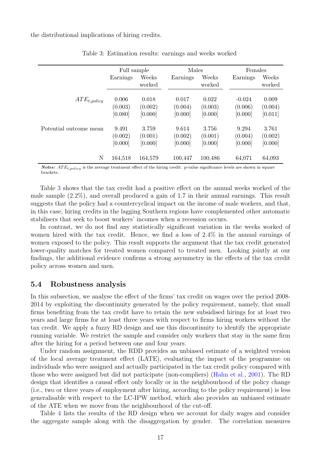the distributional implications of hiring credits.

|                        | Full sample                 |                             | Males                       |                             | Females                     |                             |
|------------------------|-----------------------------|-----------------------------|-----------------------------|-----------------------------|-----------------------------|-----------------------------|
|                        | Earnings                    | Weeks<br>worked             | Earnings                    | Weeks<br>worked             | Earnings                    | Weeks<br>worked             |
| $ATE_{t\_policy}$      | 0.006<br>(0.003)            | 0.018<br>(0.002)            | 0.017<br>(0.004)            | 0.022<br>(0.003)            | $-0.024$<br>(0.006)         | 0.009<br>(0.004)            |
|                        | [0.080]                     | [0.000]                     | [0.000]                     | [0.000]                     | [0.000]                     | [0.011]                     |
| Potential outcome mean | 9.491<br>(0.002)<br>[0.000] | 3.759<br>(0.001)<br>[0.000] | 9.614<br>(0.002)<br>[0.000] | 3.756<br>(0.001)<br>[0.000] | 9.294<br>(0.004)<br>[0.000] | 3.761<br>(0.002)<br>[0.000] |
| N                      | 164,518                     | 164,579                     | 100,447                     | 100,486                     | 64,071                      | 64,093                      |

Table 3: Estimation results: earnings and weeks worked

Notes:  $ATE_{t\_policy}$  is the average treatment effect of the hiring credit. p-value significance levels are shown in square brackets.

Table 3 shows that the tax credit had a positive effect on the annual weeks worked of the male sample (2.2%), and overall produced a gain of 1.7 in their annual earnings. This result suggests that the policy had a countercyclical impact on the income of male workers, and that, in this case, hiring credits in the lagging Southern regions have complemented other automatic stabilisers that seek to boost workers' incomes when a recession occurs.

In contrast, we do not find any statistically significant variation in the weeks worked of women hired with the tax credit. Hence, we find a loss of 2.4% in the annual earnings of women exposed to the policy. This result supports the argument that the tax credit generated lower-quality matches for treated women compared to treated men. Looking jointly at our findings, the additional evidence confirms a strong asymmetry in the effects of the tax credit policy across women and men.

#### 5.4 Robustness analysis

In this subsection, we analyse the effect of the firms' tax credit on wages over the period 2008- 2014 by exploiting the discontinuity generated by the policy requirement, namely, that small firms benefiting from the tax credit have to retain the new subsidised hirings for at least two years and large firms for at least three years with respect to firms hiring workers without the tax credit. We apply a fuzzy RD design and use this discontinuity to identify the appropriate running variable. We restrict the sample and consider only workers that stay in the same firm after the hiring for a period between one and four years.

Under random assignment, the RDD provides an unbiased estimate of a weighted version of the local average treatment effect (LATE), evaluating the impact of the programme on individuals who were assigned and actually participated in the tax credit policy compared with those who were assigned but did not participate (non-compliers) (Hahn et al., 2001). The RD design that identifies a causal effect only locally or in the neighbourhood of the policy change (i.e., two or three years of employment after hiring, according to the policy requirement) is less generalisable with respect to the LC-IPW method, which also provides an unbiased estimate of the ATE when we move from the neighbourhood of the cut-off.

Table 4 lists the results of the RD design when we account for daily wages and consider the aggregate sample along with the disaggregation by gender. The correlation measures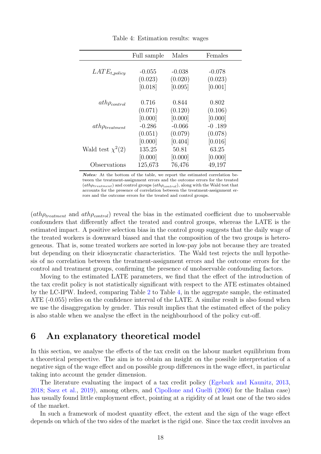|                       | Full sample | Males    | Females  |
|-----------------------|-------------|----------|----------|
|                       |             |          |          |
| $LATE_{t\_policy}$    | $-0.055$    | $-0.038$ | $-0.078$ |
|                       | (0.023)     | (0.020)  | (0.023)  |
|                       | [0.018]     | [0.095]  | [0.001]  |
| $ath\rho_{control}$   | 0.716       | 0.844    | 0.802    |
|                       | (0.071)     | (0.120)  | (0.106)  |
|                       | [0.000]     | [0.000]  | [0.000]  |
| $ath\rho_{treatment}$ | $-0.286$    | $-0.066$ | $-0.189$ |
|                       | (0.051)     | (0.079)  | (0.078)  |
|                       | [0.000]     | [0.404]  | [0.016]  |
| Wald test $\chi^2(2)$ | 135.25      | 50.81    | 63.25    |
|                       | [0.000]     | [0.000]  | [0.000]  |
| Observations          | 125,673     | 76,476   | 49,197   |

Table 4: Estimation results: wages

Notes: At the bottom of the table, we report the estimated correlation between the treatment-assignment errors and the outcome errors for the treated  $(ath\rho_{treatment})$  and control groups  $(ath\rho_{control}),$  along with the Wald test that accounts for the presence of correlation between the treatment-assignment errors and the outcome errors for the treated and control groups.

 $(ath\rho_{treatment}$  and  $ath\rho_{control}$  reveal the bias in the estimated coefficient due to unobservable confounders that differently affect the treated and control groups, whereas the LATE is the estimated impact. A positive selection bias in the control group suggests that the daily wage of the treated workers is downward biased and that the composition of the two groups is heterogeneous. That is, some treated workers are sorted in low-pay jobs not because they are treated but depending on their idiosyncratic characteristics. The Wald test rejects the null hypothesis of no correlation between the treatment-assignment errors and the outcome errors for the control and treatment groups, confirming the presence of unobservable confounding factors.

Moving to the estimated LATE parameters, we find that the effect of the introduction of the tax credit policy is not statistically significant with respect to the ATE estimates obtained by the LC-IPW. Indeed, comparing Table 2 to Table 4, in the aggregate sample, the estimated ATE (-0.055) relies on the confidence interval of the LATE. A similar result is also found when we use the disaggregation by gender. This result implies that the estimated effect of the policy is also stable when we analyse the effect in the neighbourhood of the policy cut-off.

## 6 An explanatory theoretical model

In this section, we analyse the effects of the tax credit on the labour market equilibrium from a theoretical perspective. The aim is to obtain an insight on the possible interpretation of a negative sign of the wage effect and on possible group differences in the wage effect, in particular taking into account the gender dimension.

The literature evaluating the impact of a tax credit policy (Egebark and Kaunitz, 2013, 2018; Saez et al., 2019), among others, and Cipollone and Guelfi (2006) for the Italian case) has usually found little employment effect, pointing at a rigidity of at least one of the two sides of the market.

In such a framework of modest quantity effect, the extent and the sign of the wage effect depends on which of the two sides of the market is the rigid one. Since the tax credit involves an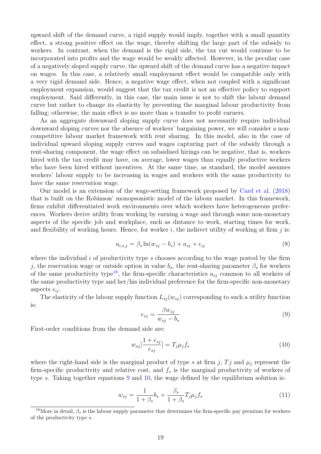upward shift of the demand curve, a rigid supply would imply, together with a small quantity effect, a strong positive effect on the wage, thereby shifting the large part of the subsidy to workers. In contrast, when the demand is the rigid side, the tax cut would continue to be incorporated into profits and the wage would be weakly affected. However, in the peculiar case of a negatively sloped supply curve, the upward shift of the demand curve has a negative impact on wages. In this case, a relatively small employment effect would be compatible only with a very rigid demand side. Hence, a negative wage effect, when not coupled with a significant employment expansion, would suggest that the tax credit is not an effective policy to support employment. Said differently, in this case, the main issue is not to shift the labour demand curve but rather to change its elasticity by preventing the marginal labour productivity from falling; otherwise, the main effect is no more than a transfer to profit earners.

As an aggregate downward sloping supply curve does not necessarily require individual downward sloping curves nor the absence of workers' bargaining power, we will consider a noncompetitive labour market framework with rent sharing. In this model, also in the case of individual upward sloping supply curves and wages capturing part of the subsidy through a rent-sharing component, the wage effect on subsidised hirings can be negative, that is, workers hired with the tax credit may have, on average, lower wages than equally productive workers who have been hired without incentives. At the same time, as standard, the model assumes workers' labour supply to be increasing in wages and workers with the same productivity to have the same reservation wage.

Our model is an extension of the wage-setting framework proposed by Card et al. (2018) that is built on the Robinson' monopsonistic model of the labour market. In this framework, firms exhibit differentiated work environments over which workers have heterogeneous preferences. Workers derive utility from working by earning a wage and through some non-monetary aspects of the specific job and workplace, such as distance to work, starting times for work, and flexibility of working hours. Hence, for worker i, the indirect utility of working at firm j is:

$$
u_{i,s,j} = \beta_s \ln(w_{sj} - b_s) + a_{sj} + \epsilon_{ij}
$$
\n
$$
(8)
$$

where the individual i of productivity type s chooses according to the wage posted by the firm j, the reservation wage or outside option in value  $b_s$ , the rent-sharing parameter  $\beta_s$  for workers of the same productivity type<sup>18</sup>, the firm-specific characteristics  $a_{sj}$  common to all workers of the same productivity type and her/his individual preference for the firm-specific non-monetary aspects  $\epsilon_{ij}$ .

The elasticity of the labour supply function  $L_{s_i}(w_{si})$  corresponding to such a utility function is:

$$
e_{sj} = \frac{\beta w_{sj}}{w_{sj} - b_s} \tag{9}
$$

First-order conditions from the demand side are:

$$
w_{sj}[\frac{1+e_{sj}}{e_{sj}}] = T_j \mu_j f_s \tag{10}
$$

where the right-hand side is the marginal product of type s at firm j,  $Tj$  and  $\mu_j$  represent the firm-specific productivity and relative cost, and  $f_s$  is the marginal productivity of workers of type s. Taking together equations 9 and 10, the wage defined by the equilibrium solution is:

$$
w_{sj} = \frac{1}{1+\beta_s}b_s + \frac{\beta_s}{1+\beta_s}T_j\mu_jf_s \tag{11}
$$

<sup>&</sup>lt;sup>18</sup>More in detail,  $\beta_s$  is the labour supply parameter that determines the firm-specific pay premium for workers of the productivity type s.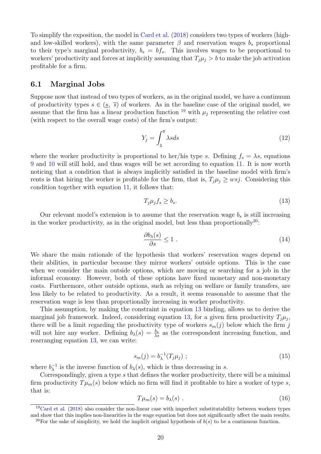To simplify the exposition, the model in Card et al. (2018) considers two types of workers (highand low-skilled workers), with the same parameter  $\beta$  and reservation wages  $b_s$  proportional to their type's marginal productivity,  $b_s = bf_s$ . This involves wages to be proportional to workers' productivity and forces at implicitly assuming that  $T_i\mu_i > b$  to make the job activation profitable for a firm.

#### 6.1 Marginal Jobs

Suppose now that instead of two types of workers, as in the original model, we have a continuum of productivity types  $s \in (s, \bar{s})$  of workers. As in the baseline case of the original model, we assume that the firm has a linear production function  $^{19}$  with  $\mu_j$  representing the relative cost (with respect to the overall wage costs) of the firm's output:

$$
Y_j = \int_{\underline{s}}^{\overline{s}} \lambda s ds \tag{12}
$$

where the worker productivity is proportional to her/his type s. Defining  $f_s = \lambda s$ , equations 9 and 10 will still hold, and thus wages will be set according to equation 11. It is now worth noticing that a condition that is always implicitly satisfied in the baseline model with firm's rents is that hiring the worker is profitable for the firm, that is,  $T_i\mu_i \geq wsj$ . Considering this condition together with equation 11, it follows that:

$$
T_j \mu_j f_s \ge b_s. \tag{13}
$$

Our relevant model's extension is to assume that the reservation wage  $b_s$  is still increasing in the worker productivity, as in the original model, but less than proportionally<sup>20</sup>:

$$
\frac{\partial b_{\lambda}(s)}{\partial s} \le 1 \tag{14}
$$

We share the main rationale of the hypothesis that workers' reservation wages depend on their abilities, in particular because they mirror workers' outside options. This is the case when we consider the main outside options, which are moving or searching for a job in the informal economy. However, both of these options have fixed monetary and non-monetary costs. Furthermore, other outside options, such as relying on welfare or family transfers, are less likely to be related to productivity. As a result, it seems reasonable to assume that the reservation wage is less than proportionally increasing in worker productivity.

This assumption, by making the constraint in equation 13 binding, allows us to derive the marginal job framework. Indeed, considering equation 13, for a given firm productivity  $T_j\mu_j$ , there will be a limit regarding the productivity type of workers  $s_m(j)$  below which the firm j will not hire any worker. Defining  $b_{\lambda}(s) = \frac{b_s}{\lambda s}$  as the correspondent increasing function, and rearranging equation 13, we can write:

$$
s_m(j) = b_{\lambda}^{-1}(T_j \mu_j) ; \qquad (15)
$$

where  $b_{\lambda}^{-1}$  $\lambda^{-1}$  is the inverse function of  $b_{\lambda}(s)$ , which is thus decreasing in s.

Correspondingly, given a type s that defines the worker productivity, there will be a minimal firm productivity  $T\mu_m(s)$  below which no firm will find it profitable to hire a worker of type s, that is:

$$
T\mu_m(s) = b_\lambda(s) \tag{16}
$$

 $19$ Card et al. (2018) also consider the non-linear case with imperfect substitutability between workers types and show that this implies non-linearities in the wage equation but does not significantly affect the main results. <sup>20</sup>For the sake of simplicity, we hold the implicit original hypothesis of  $b(s)$  to be a continuous function.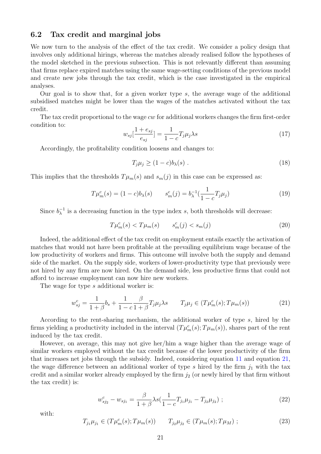#### 6.2 Tax credit and marginal jobs

We now turn to the analysis of the effect of the tax credit. We consider a policy design that involves only additional hirings, whereas the matches already realised follow the hypotheses of the model sketched in the previous subsection. This is not relevantly different than assuming that firms replace expired matches using the same wage-setting conditions of the previous model and create new jobs through the tax credit, which is the case investigated in the empirical analyses.

Our goal is to show that, for a given worker type  $s$ , the average wage of the additional subsidised matches might be lower than the wages of the matches activated without the tax credit.

The tax credit proportional to the wage  $cw$  for additional workers changes the firm first-order condition to:

$$
w_{sj}[\frac{1+e_{sj}}{e_{sj}}] = \frac{1}{1-c}T_j\mu_j\lambda s\tag{17}
$$

Accordingly, the profitability condition loosens and changes to:

$$
T_j \mu_j \ge (1 - c) b_\lambda(s) \tag{18}
$$

This implies that the thresholds  $T\mu_m(s)$  and  $s_m(j)$  in this case can be expressed as:

$$
T\mu_m^c(s) = (1-c)b_\lambda(s) \qquad s_m^c(j) = b_\lambda^{-1}(\frac{1}{1-c}T_j\mu_j)
$$
\n(19)

Since  $b_{\lambda}^{-1}$  $\lambda^{-1}$  is a decreasing function in the type index s, both thresholds will decrease:

$$
T\mu_m^c(s) < T\mu_m(s) \qquad s_m^c(j) < s_m(j) \tag{20}
$$

Indeed, the additional effect of the tax credit on employment entails exactly the activation of matches that would not have been profitable at the prevailing equilibrium wage because of the low productivity of workers and firms. This outcome will involve both the supply and demand side of the market. On the supply side, workers of lower-productivity type that previously were not hired by any firm are now hired. On the demand side, less productive firms that could not afford to increase employment can now hire new workers.

The wage for type s additional worker is:

$$
w_{sj}^{c} = \frac{1}{1+\beta}b_{s} + \frac{1}{1-c}\frac{\beta}{1+\beta}T_{j}\mu_{j}\lambda s \qquad T_{j}\mu_{j} \in (T\mu_{m}^{c}(s); T\mu_{m}(s))
$$
(21)

According to the rent-sharing mechanism, the additional worker of type s, hired by the firms yielding a productivity included in the interval  $(T\mu_m^c(s); T\mu_m(s))$ , shares part of the rent induced by the tax credit.

However, on average, this may not give her/him a wage higher than the average wage of similar workers employed without the tax credit because of the lower productivity of the firm that increases net jobs through the subsidy. Indeed, considering equation 11 and equation 21, the wage difference between an additional worker of type s hired by the firm  $j_1$  with the tax credit and a similar worker already employed by the firm  $j_2$  (or newly hired by that firm without the tax credit) is:

$$
w_{sj_2}^c - w_{sj_1} = \frac{\beta}{1+\beta} \lambda s \left( \frac{1}{1-c} T_{j_1} \mu_{j_1} - T_{j_2} \mu_{j_2} \right) ; \tag{22}
$$

with:

$$
T_{j_1}\mu_{j_1} \in (T\mu_m^c(s); T\mu_m(s)) \qquad T_{j_2}\mu_{j_2} \in (T\mu_m(s); T\mu_M) ; \qquad (23)
$$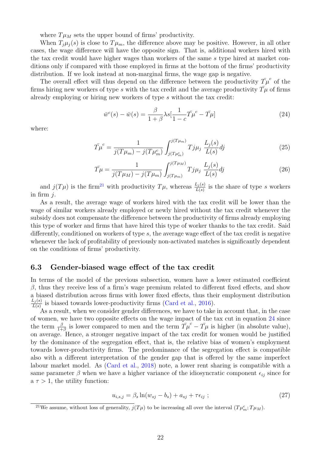where  $T\mu_M$  sets the upper bound of firms' productivity.

When  $T_i\mu_i(s)$  is close to  $T\mu_m$ , the difference above may be positive. However, in all other cases, the wage difference will have the opposite sign. That is, additional workers hired with the tax credit would have higher wages than workers of the same s type hired at market conditions only if compared with those employed in firms at the bottom of the firms' productivity distribution. If we look instead at non-marginal firms, the wage gap is negative.

The overall effect will thus depend on the difference between the productivity  $\bar{T}\mu^c$  of the firms hiring new workers of type s with the tax credit and the average productivity  $T\mu$  of firms already employing or hiring new workers of type s without the tax credit:

$$
\bar{w}^c(s) - \bar{w}(s) = \frac{\beta}{1+\beta} \lambda s \left[ \frac{1}{1-c} \bar{T} \mu^c - \bar{T} \mu \right]
$$
\n(24)

where:

$$
\bar{T\mu}^c = \frac{1}{j(T\mu_m) - j(T\mu_m^c)} \int_{j(T\mu_m^c)}^{j(T\mu_m)} T j\mu_j \frac{L_j(s)}{L(s)} dj \tag{25}
$$

$$
\bar{T\mu} = \frac{1}{j(T\mu_M) - j(T\mu_m)} \int_{j(T\mu_m)}^{j(T\mu_M)} T j\mu_j \frac{L_j(s)}{L(s)} dj \tag{26}
$$

and  $j(T\mu)$  is the firm<sup>21</sup> with productivity  $T\mu$ , whereas  $\frac{L_j(s)}{L(s)}$  is the share of type s workers in firm  $i$ .

As a result, the average wage of workers hired with the tax credit will be lower than the wage of similar workers already employed or newly hired without the tax credit whenever the subsidy does not compensate the difference between the productivity of firms already employing this type of worker and firms that have hired this type of worker thanks to the tax credit. Said differently, conditioned on workers of type  $s$ , the average wage effect of the tax credit is negative whenever the lack of profitability of previously non-activated matches is significantly dependent on the conditions of firms' productivity.

#### 6.3 Gender-biased wage effect of the tax credit

In terms of the model of the previous subsection, women have a lower estimated coefficient  $β$ , thus they receive less of a firm's wage premium related to different fixed effects, and show a biased distribution across firms with lower fixed effects, thus their employment distribution  $L_j(s)$  $\frac{L_i(s)}{L(s)}$  is biased towards lower-productivity firms (Card et al., 2016).

As a result, when we consider gender differences, we have to take in account that, in the case of women, we have two opposite effects on the wage impact of the tax cut in equation 24 since the term  $\frac{\beta}{1+\beta}$  is lower compared to men and the term  $\overline{T}\mu^c - \overline{T}\mu$  is higher (in absolute value), on average. Hence, a stronger negative impact of the tax credit for women would be justified by the dominance of the segregation effect, that is, the relative bias of women's employment towards lower-productivity firms. The predominance of the segregation effect is compatible also with a different interpretation of the gender gap that is offered by the same imperfect labour market model. As (Card et al., 2018) note, a lower rent sharing is compatible with a same parameter  $\beta$  when we have a higher variance of the idiosyncratic component  $\epsilon_{ij}$  since for  $a \tau > 1$ , the utility function:

$$
u_{i,s,j} = \beta_s \ln(w_{sj} - b_s) + a_{sj} + \tau \epsilon_{ij} ; \qquad (27)
$$

<sup>&</sup>lt;sup>21</sup>We assume, without loss of generality,  $j(T\mu)$  to be increasing all over the interval  $(T\mu_m^c; T\mu_M)$ .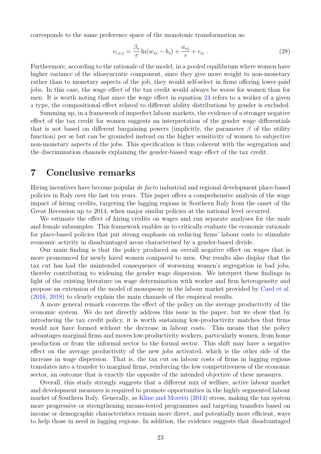corresponds to the same preference space of the monotonic transformation as:

$$
v_{i,s,j} = \frac{\beta_s}{\tau} \ln(w_{sj} - b_s) + \frac{a_{sj}}{\tau} + \epsilon_{ij} \tag{28}
$$

Furthermore, according to the rationale of the model, in a pooled equilibrium where women have higher variance of the idiosyncratic component, since they give more weight to non-monetary rather than to monetary aspects of the job, they would self-select in firms offering lower-paid jobs. In this case, the wage effect of the tax credit would always be worse for women than for men. It is worth noting that since the wage effect in equation 24 refers to a worker of a given s type, the compositional effect related to different ability distributions by gender is excluded.

Summing up, in a framework of imperfect labour markets, the evidence of a stronger negative effect of the tax credit for women suggests an interpretation of the gender wage differentials that is not based on different bargaining powers (implicitly, the parameter  $\beta$  of the utility function) per se but can be grounded instead on the higher sensitivity of women to subjective non-monetary aspects of the jobs. This specification is thus coherent with the segregation and the discrimination channels explaining the gender-biased wage effect of the tax credit.

## 7 Conclusive remarks

Hiring incentives have become popular *de facto* industrial and regional development place-based policies in Italy over the last ten years. This paper offers a comprehensive analysis of the wage impact of hiring credits, targeting the lagging regions in Southern Italy from the onset of the Great Recession up to 2014, when major similar policies at the national level occurred.

We estimate the effect of hiring credits on wages and run separate analyses for the male and female subsamples. This framework enables us to critically evaluate the economic rationale for place-based policies that put strong emphasis on reducing firms' labour costs to stimulate economic activity in disadvantaged areas characterised by a gender-based divide.

Our main finding is that the policy produced an overall negative effect on wages that is more pronounced for newly hired women compared to men. Our results also display that the tax cut has had the unintended consequence of worsening women's segregation in bad jobs, thereby contributing to widening the gender wage dispersion. We interpret these findings in light of the existing literature on wage determination with worker and firm heterogeneity and propose an extension of the model of monopsony in the labour market provided by Card et al. (2016, 2018) to clearly explain the main channels of the empirical results.

A more general remark concerns the effect of the policy on the average productivity of the economic system. We do not directly address this issue in the paper, but we show that by introducing the tax credit policy, it is worth sustaining low-productivity matches that firms would not have formed without the decrease in labour costs. This means that the policy advantages marginal firms and moves low-productivity workers, particularly women, from home production or from the informal sector to the formal sector. This shift may have a negative effect on the average productivity of the new jobs activated, which is the other side of the increase in wage dispersion. That is, the tax cut on labour costs of firms in lagging regions translates into a transfer to marginal firms, reinforcing the low competitiveness of the economic sector, an outcome that is exactly the opposite of the intended objective of these measures.

Overall, this study strongly suggests that a different mix of welfare, active labour market and development measures is required to promote opportunities in the highly segmented labour market of Southern Italy. Generally, as Kline and Moretti (2014) stress, making the tax system more progressive or strengthening means-tested programmes and targeting transfers based on income or demographic characteristics remain more direct, and potentially more efficient, ways to help those in need in lagging regions. In addition, the evidence suggests that disadvantaged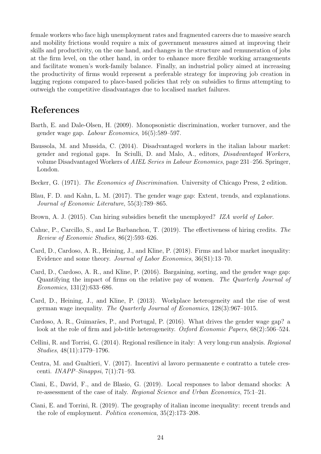female workers who face high unemployment rates and fragmented careers due to massive search and mobility frictions would require a mix of government measures aimed at improving their skills and productivity, on the one hand, and changes in the structure and remuneration of jobs at the firm level, on the other hand, in order to enhance more flexible working arrangements and facilitate women's work-family balance. Finally, an industrial policy aimed at increasing the productivity of firms would represent a preferable strategy for improving job creation in lagging regions compared to place-based policies that rely on subsidies to firms attempting to outweigh the competitive disadvantages due to localised market failures.

# References

- Barth, E. and Dale-Olsen, H. (2009). Monopsonistic discrimination, worker turnover, and the gender wage gap. *Labour Economics*, 16(5):589–597.
- Baussola, M. and Mussida, C. (2014). Disadvantaged workers in the italian labour market: gender and regional gaps. In Sciulli, D. and Malo, A., editors, *Disadvantaged Workers*, volume Disadvantaged Workers of *AIEL Series in Labour Economics*, page 231–256. Springer, London.
- Becker, G. (1971). *The Economics of Discrimination*. University of Chicago Press, 2 edition.
- Blau, F. D. and Kahn, L. M. (2017). The gender wage gap: Extent, trends, and explanations. *Journal of Economic Literature*, 55(3):789–865.
- Brown, A. J. (2015). Can hiring subsidies benefit the unemployed? *IZA world of Labor*.
- Cahuc, P., Carcillo, S., and Le Barbanchon, T. (2019). The effectiveness of hiring credits. *The Review of Economic Studies*, 86(2):593–626.
- Card, D., Cardoso, A. R., Heining, J., and Kline, P. (2018). Firms and labor market inequality: Evidence and some theory. *Journal of Labor Economics*, 36(S1):13–70.
- Card, D., Cardoso, A. R., and Kline, P. (2016). Bargaining, sorting, and the gender wage gap: Quantifying the impact of firms on the relative pay of women. *The Quarterly Journal of Economics*, 131(2):633–686.
- Card, D., Heining, J., and Kline, P. (2013). Workplace heterogeneity and the rise of west german wage inequality. *The Quarterly Journal of Economics*, 128(3):967–1015.
- Cardoso, A. R., Guimarães, P., and Portugal, P. (2016). What drives the gender wage gap? a look at the role of firm and job-title heterogeneity. *Oxford Economic Papers*, 68(2):506–524.
- Cellini, R. and Torrisi, G. (2014). Regional resilience in italy: A very long-run analysis. *Regional Studies*, 48(11):1779–1796.
- Centra, M. and Gualtieri, V. (2017). Incentivi al lavoro permanente e contratto a tutele crescenti. *INAPP–Sinappsi*, 7(1):71–93.
- Ciani, E., David, F., and de Blasio, G. (2019). Local responses to labor demand shocks: A re-assessment of the case of italy. *Regional Science and Urban Economics*, 75:1–21.
- Ciani, E. and Torrini, R. (2019). The geography of italian income inequality: recent trends and the role of employment. *Politica economica*, 35(2):173–208.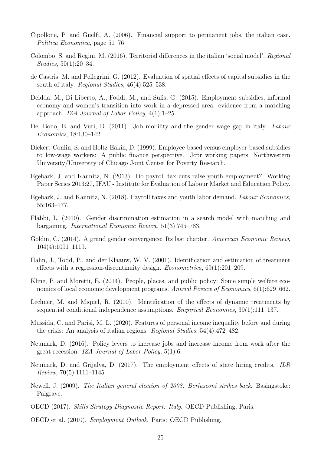- Cipollone, P. and Guelfi, A. (2006). Financial support to permanent jobs. the italian case. *Politica Economica*, page 51–76.
- Colombo, S. and Regini, M. (2016). Territorial differences in the italian 'social model'. *Regional Studies*, 50(1):20–34.
- de Castris, M. and Pellegrini, G. (2012). Evaluation of spatial effects of capital subsidies in the south of italy. *Regional Studies*, 46(4):525–538.
- Deidda, M., Di Liberto, A., Foddi, M., and Sulis, G. (2015). Employment subsidies, informal economy and women's transition into work in a depressed area: evidence from a matching approach. *IZA Journal of Labor Policy*, 4(1):1–25.
- Del Bono, E. and Vuri, D. (2011). Job mobility and the gender wage gap in italy. *Labour Economics*, 18:130–142.
- Dickert-Conlin, S. and Holtz-Eakin, D. (1999). Employee-based versus employer-based subsidies to low-wage workers: A public finance perspective. Jcpr working papers, Northwestern University/University of Chicago Joint Center for Poverty Research.
- Egebark, J. and Kaunitz, N. (2013). Do payroll tax cuts raise youth employment? Working Paper Series 2013:27, IFAU - Institute for Evaluation of Labour Market and Education Policy.
- Egebark, J. and Kaunitz, N. (2018). Payroll taxes and youth labor demand. *Labour Economics*, 55:163–177.
- Flabbi, L. (2010). Gender discrimination estimation in a search model with matching and bargaining. *International Economic Review*, 51(3):745–783.
- Goldin, C. (2014). A grand gender convergence: Its last chapter. *American Economic Review*, 104(4):1091–1119.
- Hahn, J., Todd, P., and der Klaauw, W. V. (2001). Identification and estimation of treatment effects with a regression-discontinuity design. *Econometrica*, 69(1):201–209.
- Kline, P. and Moretti, E. (2014). People, places, and public policy: Some simple welfare economics of local economic development programs. *Annual Review of Economics*, 6(1):629–662.
- Lechner, M. and Miquel, R. (2010). Identification of the effects of dynamic treatments by sequential conditional independence assumptions. *Empirical Economics*, 39(1):111–137.
- Mussida, C. and Parisi, M. L. (2020). Features of personal income inequality before and during the crisis: An analysis of italian regions. *Regional Studies*, 54(4):472–482.
- Neumark, D. (2016). Policy levers to increase jobs and increase income from work after the great recession. *IZA Journal of Labor Policy*, 5(1):6.
- Neumark, D. and Grijalva, D. (2017). The employment effects of state hiring credits. *ILR Review*, 70(5):1111–1145.
- Newell, J. (2009). *The Italian general election of 2008: Berlusconi strikes back*. Basingstoke: Palgrave.
- OECD (2017). *Skills Strategy Diagnostic Report: Italy*. OECD Publishing, Paris.
- OECD et al. (2010). *Employment Outlook*. Paris: OECD Publishing.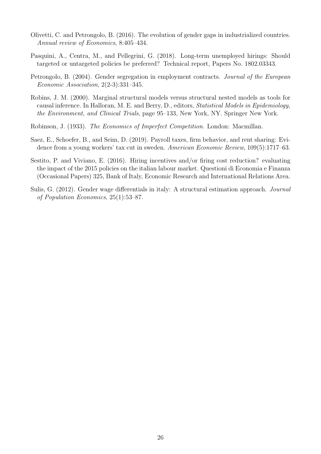- Olivetti, C. and Petrongolo, B. (2016). The evolution of gender gaps in industrialized countries. *Annual review of Economics*, 8:405–434.
- Pasquini, A., Centra, M., and Pellegrini, G. (2018). Long-term unemployed hirings: Should targeted or untargeted policies be preferred? Technical report, Papers No. 1802.03343.
- Petrongolo, B. (2004). Gender segregation in employment contracts. *Journal of the European Economic Association*, 2(2-3):331–345.
- Robins, J. M. (2000). Marginal structural models versus structural nested models as tools for causal inference. In Halloran, M. E. and Berry, D., editors, *Statistical Models in Epidemiology, the Environment, and Clinical Trials*, page 95–133, New York, NY. Springer New York.
- Robinson, J. (1933). *The Economics of Imperfect Competition*. London: Macmillan.
- Saez, E., Schoefer, B., and Seim, D. (2019). Payroll taxes, firm behavior, and rent sharing: Evidence from a young workers' tax cut in sweden. *American Economic Review*, 109(5):1717–63.
- Sestito, P. and Viviano, E. (2016). Hiring incentives and/or firing cost reduction? evaluating the impact of the 2015 policies on the italian labour market. Questioni di Economia e Finanza (Occasional Papers) 325, Bank of Italy, Economic Research and International Relations Area.
- Sulis, G. (2012). Gender wage differentials in italy: A structural estimation approach. *Journal of Population Economics*, 25(1):53–87.